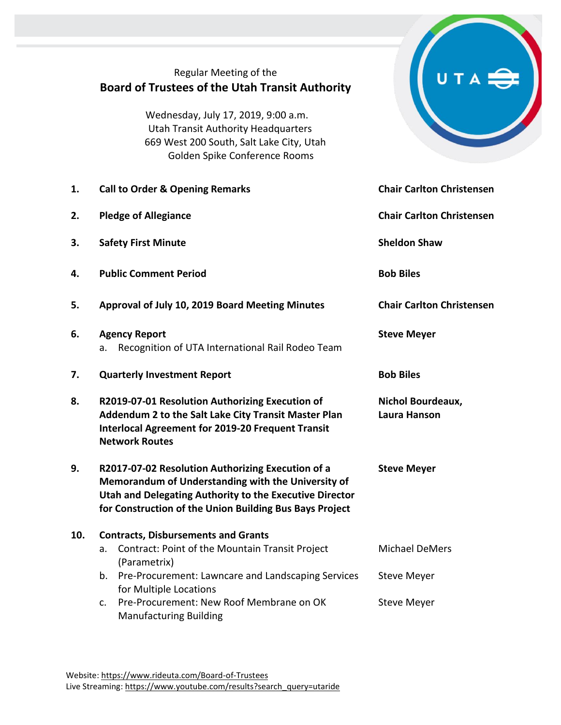### Regular Meeting of the **Board of Trustees of the Utah Transit Authority**

Wednesday, July 17, 2019, 9:00 a.m. Utah Transit Authority Headquarters 669 West 200 South, Salt Lake City, Utah Golden Spike Conference Rooms

- **1. Call to Order & Opening Remarks Chair Carlton Christensen**
- **2. Pledge of Allegiance Chair Carlton Christensen**
- **3. Safety First Minute Sheldon Shaw Sheldon Shaw**
- **4. Public Comment Period Bob Biles**
- **5. Approval of July 10, 2019 Board Meeting Minutes Chair Carlton Christensen**
- **6. Agency Report Steve Meyer Steve Meyer** a. Recognition of UTA International Rail Rodeo Team
- **7. Quarterly Investment Report Bob Biles**
- **8. R2019-07-01 Resolution Authorizing Execution of Addendum 2 to the Salt Lake City Transit Master Plan Interlocal Agreement for 2019-20 Frequent Transit Network Routes**
- **9. R2017-07-02 Resolution Authorizing Execution of a Memorandum of Understanding with the University of Utah and Delegating Authority to the Executive Director for Construction of the Union Building Bus Bays Project**

## **10. Contracts, Disbursements and Grants**

- a. Contract: Point of the Mountain Transit Project (Parametrix) Michael DeMers Steve Meyer
- b. Pre-Procurement: Lawncare and Landscaping Services for Multiple Locations
- c. Pre-Procurement: New Roof Membrane on OK Manufacturing Building Steve Meyer



**Nichol Bourdeaux, Laura Hanson**

**Steve Meyer**

Website[: https://www.rideuta.com/Board-of-Trustees](https://www.rideuta.com/Board-of-Trustees)  Live Streaming[: https://www.youtube.com/results?search\\_query=utaride](https://www.youtube.com/results?search_query=utaride)